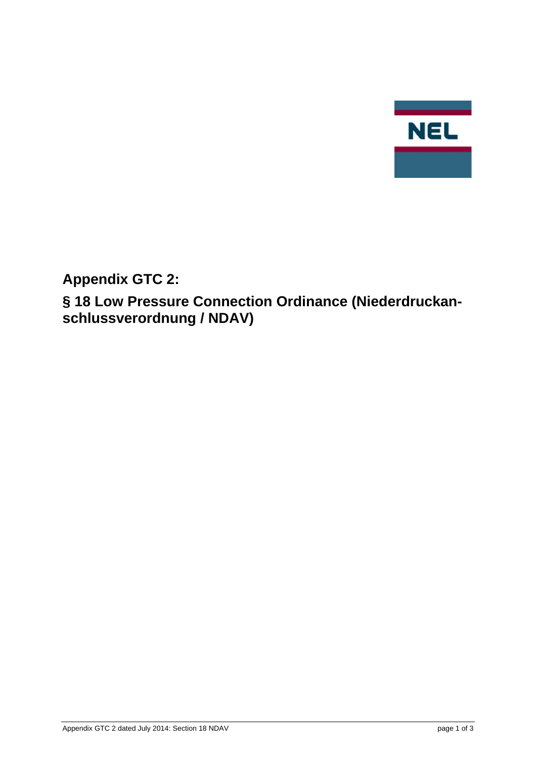

**Appendix GTC 2:** 

**§ 18 Low Pressure Connection Ordinance (Niederdruckanschlussverordnung / NDAV)**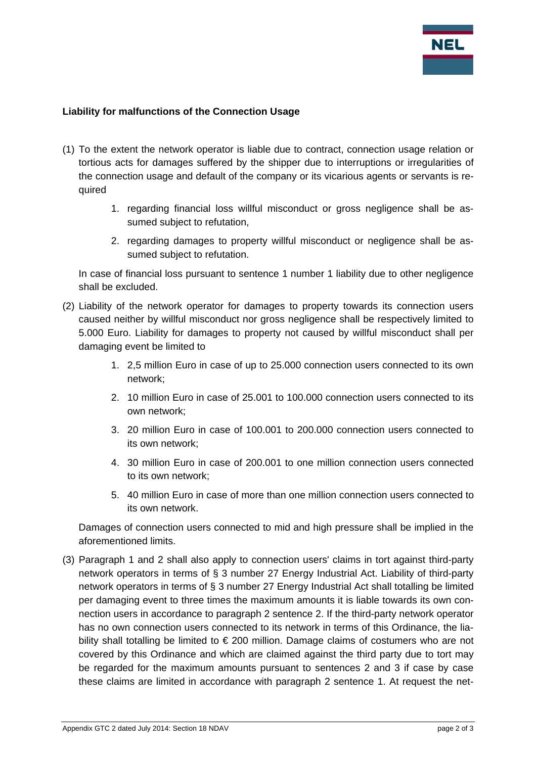

## **Liability for malfunctions of the Connection Usage**

- (1) To the extent the network operator is liable due to contract, connection usage relation or tortious acts for damages suffered by the shipper due to interruptions or irregularities of the connection usage and default of the company or its vicarious agents or servants is required
	- 1. regarding financial loss willful misconduct or gross negligence shall be assumed subject to refutation,
	- 2. regarding damages to property willful misconduct or negligence shall be assumed subject to refutation.

In case of financial loss pursuant to sentence 1 number 1 liability due to other negligence shall be excluded.

- (2) Liability of the network operator for damages to property towards its connection users caused neither by willful misconduct nor gross negligence shall be respectively limited to 5.000 Euro. Liability for damages to property not caused by willful misconduct shall per damaging event be limited to
	- 1. 2,5 million Euro in case of up to 25.000 connection users connected to its own network;
	- 2. 10 million Euro in case of 25.001 to 100.000 connection users connected to its own network;
	- 3. 20 million Euro in case of 100.001 to 200.000 connection users connected to its own network;
	- 4. 30 million Euro in case of 200.001 to one million connection users connected to its own network;
	- 5. 40 million Euro in case of more than one million connection users connected to its own network.

Damages of connection users connected to mid and high pressure shall be implied in the aforementioned limits.

(3) Paragraph 1 and 2 shall also apply to connection users' claims in tort against third-party network operators in terms of § 3 number 27 Energy Industrial Act. Liability of third-party network operators in terms of § 3 number 27 Energy Industrial Act shall totalling be limited per damaging event to three times the maximum amounts it is liable towards its own connection users in accordance to paragraph 2 sentence 2. If the third-party network operator has no own connection users connected to its network in terms of this Ordinance, the liability shall totalling be limited to  $\epsilon$  200 million. Damage claims of costumers who are not covered by this Ordinance and which are claimed against the third party due to tort may be regarded for the maximum amounts pursuant to sentences 2 and 3 if case by case these claims are limited in accordance with paragraph 2 sentence 1. At request the net-